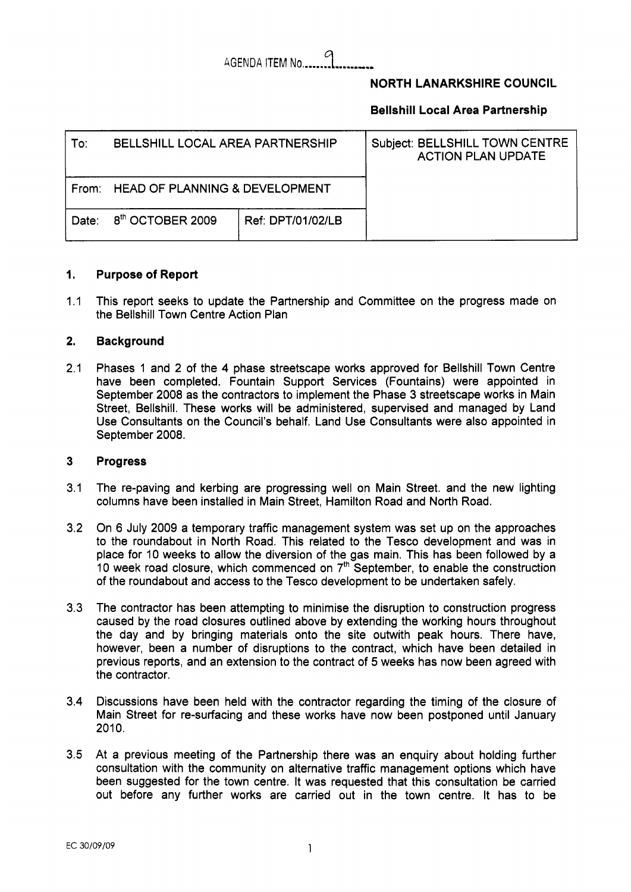# kGENDA ITEM **No** *lI.IC...* **9** ..- .......

# **NORTH LANARKSHIRE COUNCIL**

# **Bellshill Local Area Partnership**

| To:   | BELLSHILL LOCAL AREA PARTNERSHIP     |                   | Subject: BELLSHILL TOWN CENTRE<br><b>ACTION PLAN UPDATE</b> |
|-------|--------------------------------------|-------------------|-------------------------------------------------------------|
|       | From: HEAD OF PLANNING & DEVELOPMENT |                   |                                                             |
| Date: | 8 <sup>th</sup> OCTOBER 2009         | Ref: DPT/01/02/LB |                                                             |

#### **1. Purpose of Report**

1.1 This report seeks to update the Partnership and Committee on the progress made on the Bellshill Town Centre Action Plan

#### **2. Background**

2.1 Phases 1 and 2 of the 4 phase streetscape works approved for Bellshill Town Centre have been completed. Fountain Support Services (Fountains) were appointed in September 2008 as the contractors to implement the Phase 3 streetscape works in Main Street, Bellshill. These works will be administered, supervised and managed by Land Use Consultants on the Council's behalf. Land Use Consultants were also appointed in September 2008.

### **3 Progress**

- 3.1 The re-paving and kerbing are progressing well on Main Street. and the new lighting columns have been installed in Main Street, Hamilton Road and North Road.
- 3.2 On 6 July 2009 a temporary traffic management system was set up on the approaches to the roundabout in North Road. This related to the Tesco development and was in place for 10 weeks to allow the diversion of the gas main. This has been followed by a 10 week road closure, which commenced on  $7<sup>th</sup>$  September, to enable the construction of the roundabout and access to the Tesco development to be undertaken safely.
- 3.3 The contractor has been attempting to minimise the disruption to construction progress caused by the road closures outlined above by extending the working hours throughout the day and by bringing materials onto the site outwith peak hours. There have, however, been a number of disruptions to the contract, which have been detailed in previous reports, and an extension to the contract of *5* weeks has now been agreed with the contractor.
- 3.4 Discussions have been held with the contractor regarding the timing of the closure of Main Street for re-surfacing and these works have now been postponed until January  $2010.$
- 3.5 At a previous meeting of the Partnership there was an enquiry about holding further consultation with the community on alternative traffic management options which have been suggested for the town centre. It was requested that this consultation be carried out before any further works are carried out in the town centre. It has to be